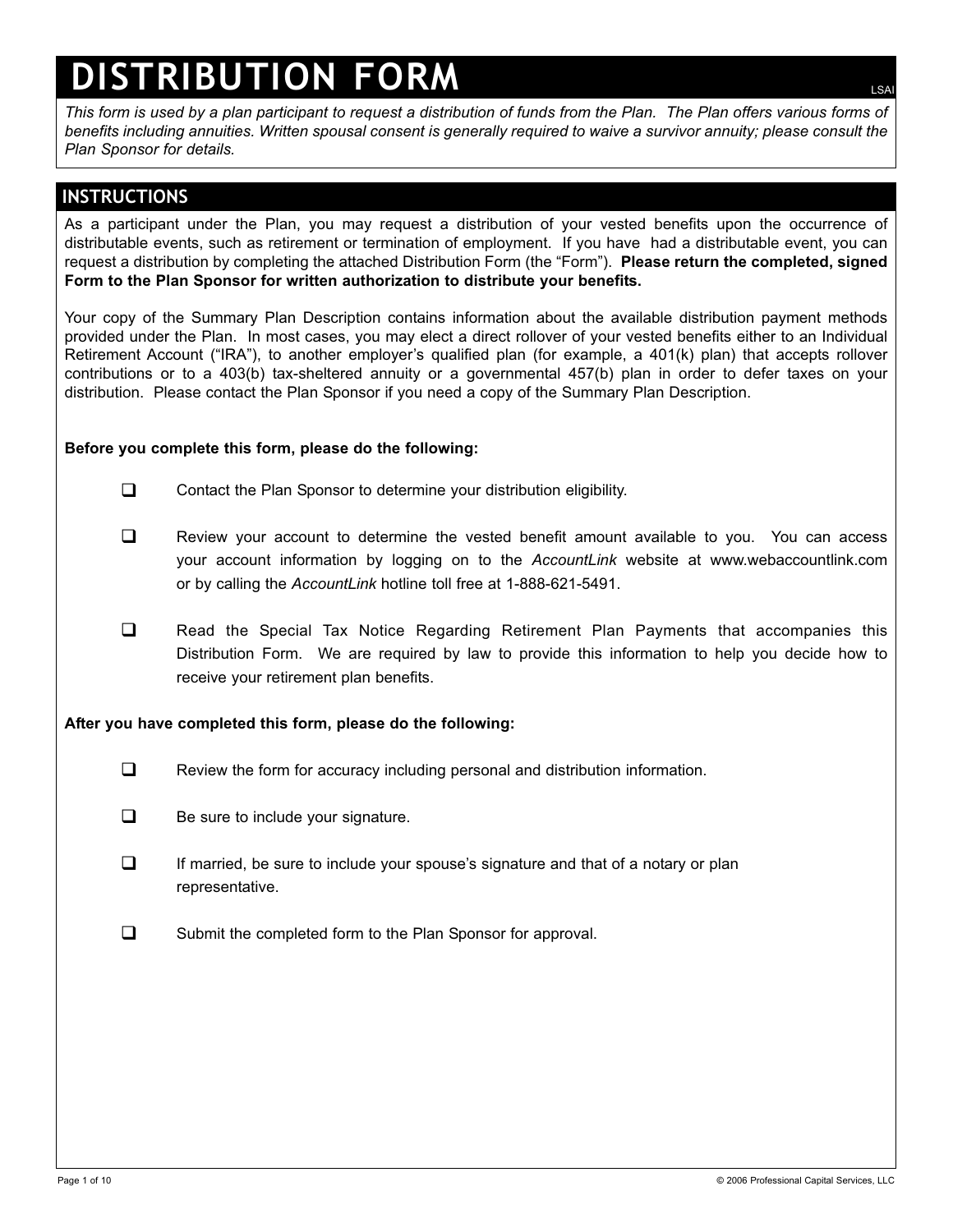# **DISTRIBUTION FORM**

*This form is used by a plan participant to request a distribution of funds from the Plan. The Plan offers various forms of benefits including annuities. Written spousal consent is generally required to waive a survivor annuity; please consult the Plan Sponsor for details.*

## **INSTRUCTIONS**

As a participant under the Plan, you may request a distribution of your vested benefits upon the occurrence of distributable events, such as retirement or termination of employment. If you have had a distributable event, you can request a distribution by completing the attached Distribution Form (the "Form"). **Please return the completed, signed Form to the Plan Sponsor for written authorization to distribute your benefits.**

Your copy of the Summary Plan Description contains information about the available distribution payment methods provided under the Plan. In most cases, you may elect a direct rollover of your vested benefits either to an Individual Retirement Account ("IRA"), to another employer's qualified plan (for example, a 401(k) plan) that accepts rollover contributions or to a 403(b) tax-sheltered annuity or a governmental 457(b) plan in order to defer taxes on your distribution. Please contact the Plan Sponsor if you need a copy of the Summary Plan Description.

#### **Before you complete this form, please do the following:**

- Contact the Plan Sponsor to determine your distribution eligibility.
- Review your account to determine the vested benefit amount available to you. You can access your account information by logging on to the *AccountLink* website at www.webaccountlink.com or by calling the *AccountLink* hotline toll free at 1-888-621-5491.
- **Read the Special Tax Notice Regarding Retirement Plan Payments that accompanies this** Distribution Form. We are required by law to provide this information to help you decide how to receive your retirement plan benefits.

#### **After you have completed this form, please do the following:**

- E Review the form for accuracy including personal and distribution information.
- $\Box$  Be sure to include your signature.
- $\Box$  If married, be sure to include your spouse's signature and that of a notary or plan representative.
- **Q** Submit the completed form to the Plan Sponsor for approval.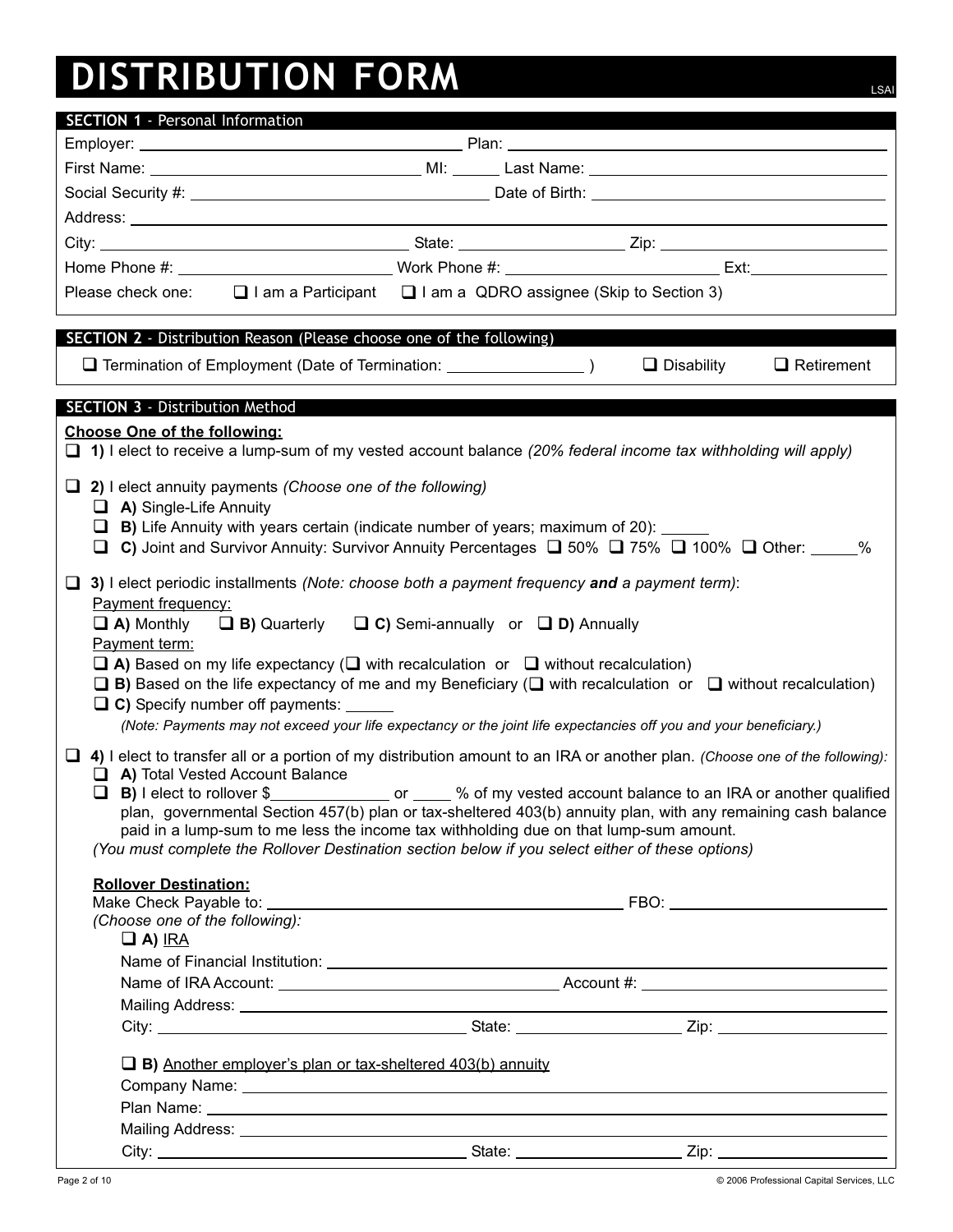## **DISTRIBUTION FORM**LSAI

| <b>SECTION 1 - Personal Information</b>                                                                                                                                                                                       |                                                                                                                              |                   |                   |  |  |
|-------------------------------------------------------------------------------------------------------------------------------------------------------------------------------------------------------------------------------|------------------------------------------------------------------------------------------------------------------------------|-------------------|-------------------|--|--|
|                                                                                                                                                                                                                               |                                                                                                                              |                   |                   |  |  |
|                                                                                                                                                                                                                               |                                                                                                                              |                   |                   |  |  |
| Social Security #: Note of Birth: Note of Birth: Note of Birth: Note of Birth: Note of Birth: Note of Birth: Note of Birth: Note of Birth: Note of Birth: Note of Birth: Note of Birth: Note of Birth: Note of Birth: Note of |                                                                                                                              |                   |                   |  |  |
|                                                                                                                                                                                                                               |                                                                                                                              |                   |                   |  |  |
|                                                                                                                                                                                                                               |                                                                                                                              |                   |                   |  |  |
|                                                                                                                                                                                                                               |                                                                                                                              |                   |                   |  |  |
| Please check one:                                                                                                                                                                                                             | $\Box$ I am a Participant $\Box$ I am a QDRO assignee (Skip to Section 3)                                                    |                   |                   |  |  |
|                                                                                                                                                                                                                               |                                                                                                                              |                   |                   |  |  |
| <b>SECTION 2</b> - Distribution Reason (Please choose one of the following)                                                                                                                                                   |                                                                                                                              |                   |                   |  |  |
|                                                                                                                                                                                                                               |                                                                                                                              | $\Box$ Disability | $\Box$ Retirement |  |  |
|                                                                                                                                                                                                                               |                                                                                                                              |                   |                   |  |  |
| <b>SECTION 3 - Distribution Method</b>                                                                                                                                                                                        |                                                                                                                              |                   |                   |  |  |
| <b>Choose One of the following:</b><br>1) I elect to receive a lump-sum of my vested account balance (20% federal income tax withholding will apply)                                                                          |                                                                                                                              |                   |                   |  |  |
|                                                                                                                                                                                                                               |                                                                                                                              |                   |                   |  |  |
| $\Box$ 2) I elect annuity payments (Choose one of the following)                                                                                                                                                              |                                                                                                                              |                   |                   |  |  |
| $\Box$ A) Single-Life Annuity<br>$\Box$ B) Life Annuity with years certain (indicate number of years; maximum of 20):                                                                                                         |                                                                                                                              |                   |                   |  |  |
| C) Joint and Survivor Annuity: Survivor Annuity Percentages $\Box$ 50% $\Box$ 75% $\Box$ 100% $\Box$ Other: _____%<br>ப                                                                                                       |                                                                                                                              |                   |                   |  |  |
|                                                                                                                                                                                                                               |                                                                                                                              |                   |                   |  |  |
| 3) I elect periodic installments (Note: choose both a payment frequency and a payment term):<br>⊔.                                                                                                                            |                                                                                                                              |                   |                   |  |  |
| <b>Payment frequency:</b>                                                                                                                                                                                                     |                                                                                                                              |                   |                   |  |  |
| $\Box$ A) Monthly<br>Payment term:                                                                                                                                                                                            | $\Box$ B) Quarterly $\Box$ C) Semi-annually or $\Box$ D) Annually                                                            |                   |                   |  |  |
|                                                                                                                                                                                                                               | $\Box$ A) Based on my life expectancy ( $\Box$ with recalculation or $\Box$ without recalculation)                           |                   |                   |  |  |
|                                                                                                                                                                                                                               | $\Box$ B) Based on the life expectancy of me and my Beneficiary ( $\Box$ with recalculation or $\Box$ without recalculation) |                   |                   |  |  |
| □ C) Specify number off payments: ______                                                                                                                                                                                      |                                                                                                                              |                   |                   |  |  |
| (Note: Payments may not exceed your life expectancy or the joint life expectancies off you and your beneficiary.)                                                                                                             |                                                                                                                              |                   |                   |  |  |
| $\Box$ 4) I elect to transfer all or a portion of my distribution amount to an IRA or another plan. (Choose one of the following):                                                                                            |                                                                                                                              |                   |                   |  |  |
| A) Total Vested Account Balance                                                                                                                                                                                               |                                                                                                                              |                   |                   |  |  |
| □ B) I elect to rollover \$<br>2000 of my vested account balance to an IRA or another qualified                                                                                                                               |                                                                                                                              |                   |                   |  |  |
| plan, governmental Section 457(b) plan or tax-sheltered 403(b) annuity plan, with any remaining cash balance<br>paid in a lump-sum to me less the income tax withholding due on that lump-sum amount.                         |                                                                                                                              |                   |                   |  |  |
| (You must complete the Rollover Destination section below if you select either of these options)                                                                                                                              |                                                                                                                              |                   |                   |  |  |
|                                                                                                                                                                                                                               |                                                                                                                              |                   |                   |  |  |
| <b>Rollover Destination:</b>                                                                                                                                                                                                  |                                                                                                                              |                   |                   |  |  |
| (Choose one of the following):                                                                                                                                                                                                |                                                                                                                              |                   |                   |  |  |
| $\Box$ A) IRA                                                                                                                                                                                                                 |                                                                                                                              |                   |                   |  |  |
|                                                                                                                                                                                                                               |                                                                                                                              |                   |                   |  |  |
|                                                                                                                                                                                                                               |                                                                                                                              |                   |                   |  |  |
|                                                                                                                                                                                                                               |                                                                                                                              |                   |                   |  |  |
|                                                                                                                                                                                                                               |                                                                                                                              |                   |                   |  |  |
| $\Box$ B) Another employer's plan or tax-sheltered 403(b) annuity                                                                                                                                                             |                                                                                                                              |                   |                   |  |  |
|                                                                                                                                                                                                                               |                                                                                                                              |                   |                   |  |  |
|                                                                                                                                                                                                                               |                                                                                                                              |                   |                   |  |  |
|                                                                                                                                                                                                                               |                                                                                                                              |                   |                   |  |  |
|                                                                                                                                                                                                                               |                                                                                                                              |                   |                   |  |  |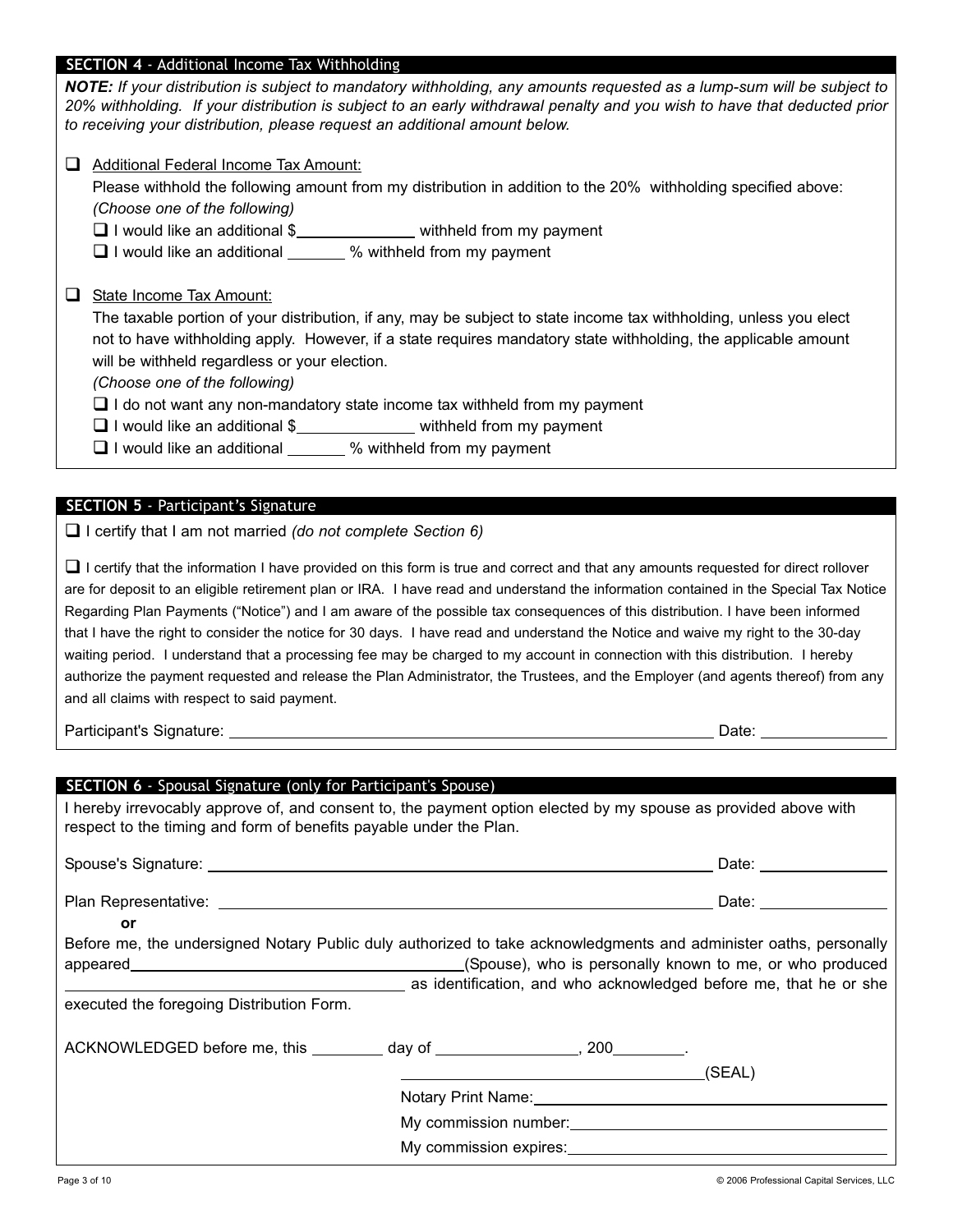## **SECTION 4** - Additional Income Tax Withholding

*NOTE: If your distribution is subject to mandatory withholding, any amounts requested as a lump-sum will be subject to 20% withholding. If your distribution is subject to an early withdrawal penalty and you wish to have that deducted prior to receiving your distribution, please request an additional amount below.*

Additional Federal Income Tax Amount:

Please withhold the following amount from my distribution in addition to the 20% withholding specified above: *(Choose one of the following)*

 $\Box$  I would like an additional  $\$\_\_\_\_\_$  withheld from my payment

 $\Box$  I would like an additional  $\_\_\_\_\$ % withheld from my payment

□ State Income Tax Amount:

The taxable portion of your distribution, if any, may be subject to state income tax withholding, unless you elect not to have withholding apply. However, if a state requires mandatory state withholding, the applicable amount will be withheld regardless or your election.

*(Choose one of the following)*

 $\Box$  I do not want any non-mandatory state income tax withheld from my payment

 $\Box$  I would like an additional \$ withheld from my payment

□ I would like an additional \_\_\_\_\_\_ % withheld from my payment

## **SECTION 5** - Participant's Signature

I certify that I am not married *(do not complete Section 6)*

 $\Box$  I certify that the information I have provided on this form is true and correct and that any amounts requested for direct rollover are for deposit to an eligible retirement plan or IRA. I have read and understand the information contained in the Special Tax Notice Regarding Plan Payments ("Notice") and I am aware of the possible tax consequences of this distribution. I have been informed that I have the right to consider the notice for 30 days. I have read and understand the Notice and waive my right to the 30-day waiting period. I understand that a processing fee may be charged to my account in connection with this distribution. I hereby authorize the payment requested and release the Plan Administrator, the Trustees, and the Employer (and agents thereof) from any and all claims with respect to said payment.

Participant's Signature: Date: Date: Date: Date: Date: Date: Date: Date: Date: Date: Date: Date: Date: Date: D

| <b>SECTION 6</b> - Spousal Signature (only for Participant's Spouse)<br>I hereby irrevocably approve of, and consent to, the payment option elected by my spouse as provided above with<br>respect to the timing and form of benefits payable under the Plan. |                                                                                                                                                                                                                                                                                                                                                                                                                                                           |  |  |
|---------------------------------------------------------------------------------------------------------------------------------------------------------------------------------------------------------------------------------------------------------------|-----------------------------------------------------------------------------------------------------------------------------------------------------------------------------------------------------------------------------------------------------------------------------------------------------------------------------------------------------------------------------------------------------------------------------------------------------------|--|--|
|                                                                                                                                                                                                                                                               |                                                                                                                                                                                                                                                                                                                                                                                                                                                           |  |  |
|                                                                                                                                                                                                                                                               |                                                                                                                                                                                                                                                                                                                                                                                                                                                           |  |  |
| <b>or</b><br>Before me, the undersigned Notary Public duly authorized to take acknowledgments and administer oaths, personally<br>as identification, and who acknowledged before me, that he or she<br>executed the foregoing Distribution Form.              |                                                                                                                                                                                                                                                                                                                                                                                                                                                           |  |  |
| ACKNOWLEDGED before me, this _________ day of _______________, 200________.                                                                                                                                                                                   | (SEAL)<br><u> 1989 - Johann Stoff, deutscher Stoffen und der Stoffen und der Stoffen und der Stoffen und der Stoffen und der</u><br>Notary Print Name: Notary Print Name: Notary Print Name: Notary Print Name: Notary Print Name: Notary Print Name: Notary Print Name: Notary Print Name: Notary Print Name: Notary Print Name: Notary Print Name: Notary Print<br>My commission number: University of the commission number:<br>My commission expires: |  |  |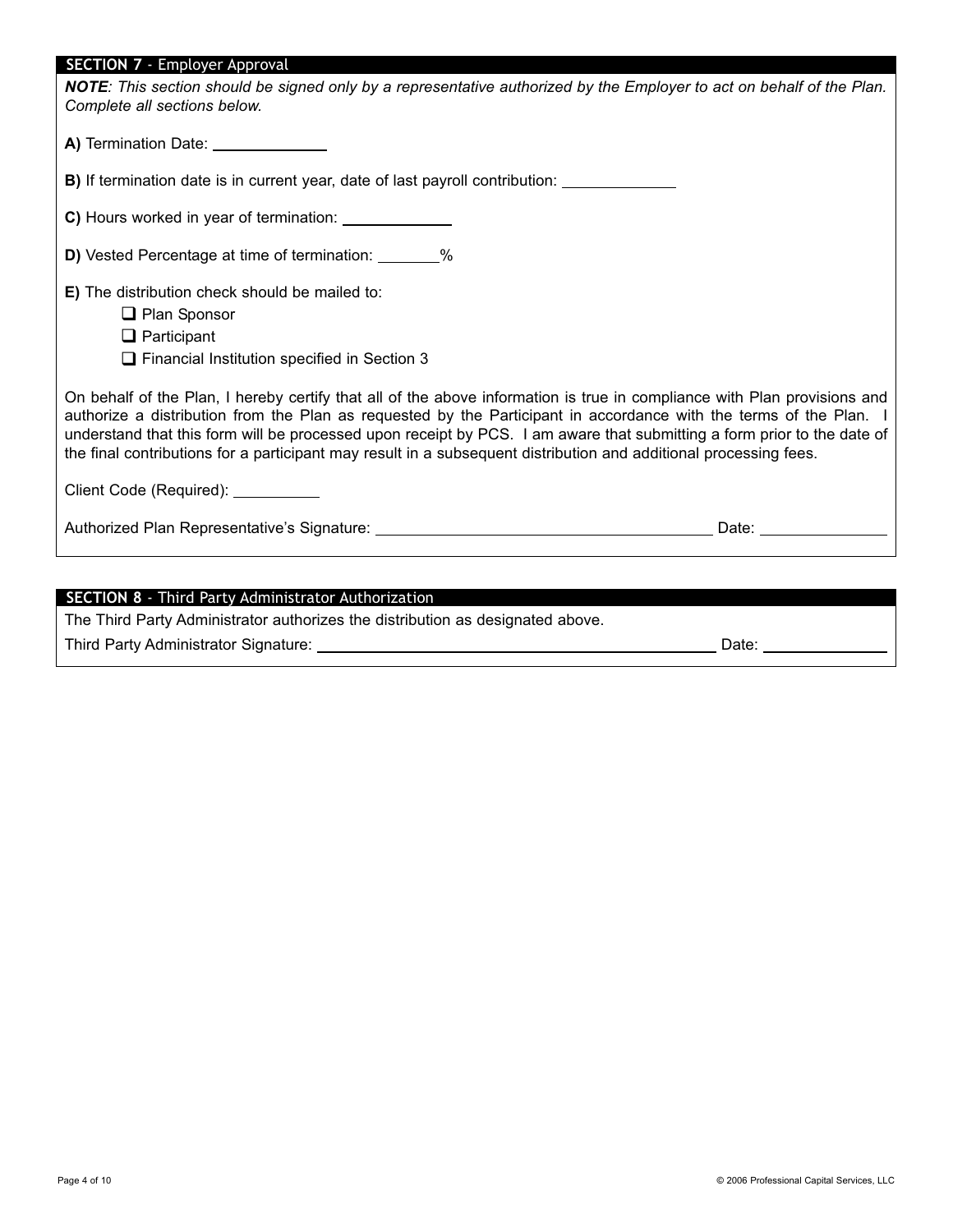#### **SECTION 7**7 - Employer Approval

| SECTION 7 - Employer Approval<br><b>NOTE</b> : This section should be signed only by a representative authorized by the Employer to act on behalf of the Plan.<br>Complete all sections below.                                                                                                                                                                                                                                                                                               |  |  |  |
|----------------------------------------------------------------------------------------------------------------------------------------------------------------------------------------------------------------------------------------------------------------------------------------------------------------------------------------------------------------------------------------------------------------------------------------------------------------------------------------------|--|--|--|
| A) Termination Date: _______________                                                                                                                                                                                                                                                                                                                                                                                                                                                         |  |  |  |
| <b>B)</b> If termination date is in current year, date of last payroll contribution:                                                                                                                                                                                                                                                                                                                                                                                                         |  |  |  |
| C) Hours worked in year of termination: ______________                                                                                                                                                                                                                                                                                                                                                                                                                                       |  |  |  |
| D) Vested Percentage at time of termination: _______%                                                                                                                                                                                                                                                                                                                                                                                                                                        |  |  |  |
| E) The distribution check should be mailed to:<br>$\Box$ Plan Sponsor<br>$\Box$ Participant<br>$\Box$ Financial Institution specified in Section 3                                                                                                                                                                                                                                                                                                                                           |  |  |  |
| On behalf of the Plan, I hereby certify that all of the above information is true in compliance with Plan provisions and<br>authorize a distribution from the Plan as requested by the Participant in accordance with the terms of the Plan.<br>understand that this form will be processed upon receipt by PCS. I am aware that submitting a form prior to the date of<br>the final contributions for a participant may result in a subsequent distribution and additional processing fees. |  |  |  |
| Client Code (Required): __________                                                                                                                                                                                                                                                                                                                                                                                                                                                           |  |  |  |
|                                                                                                                                                                                                                                                                                                                                                                                                                                                                                              |  |  |  |
|                                                                                                                                                                                                                                                                                                                                                                                                                                                                                              |  |  |  |

## **SECTION 8** - Third Party Administrator Authorization

The Third Party Administrator authorizes the distribution as designated above.

Third Party Administrator Signature: Date: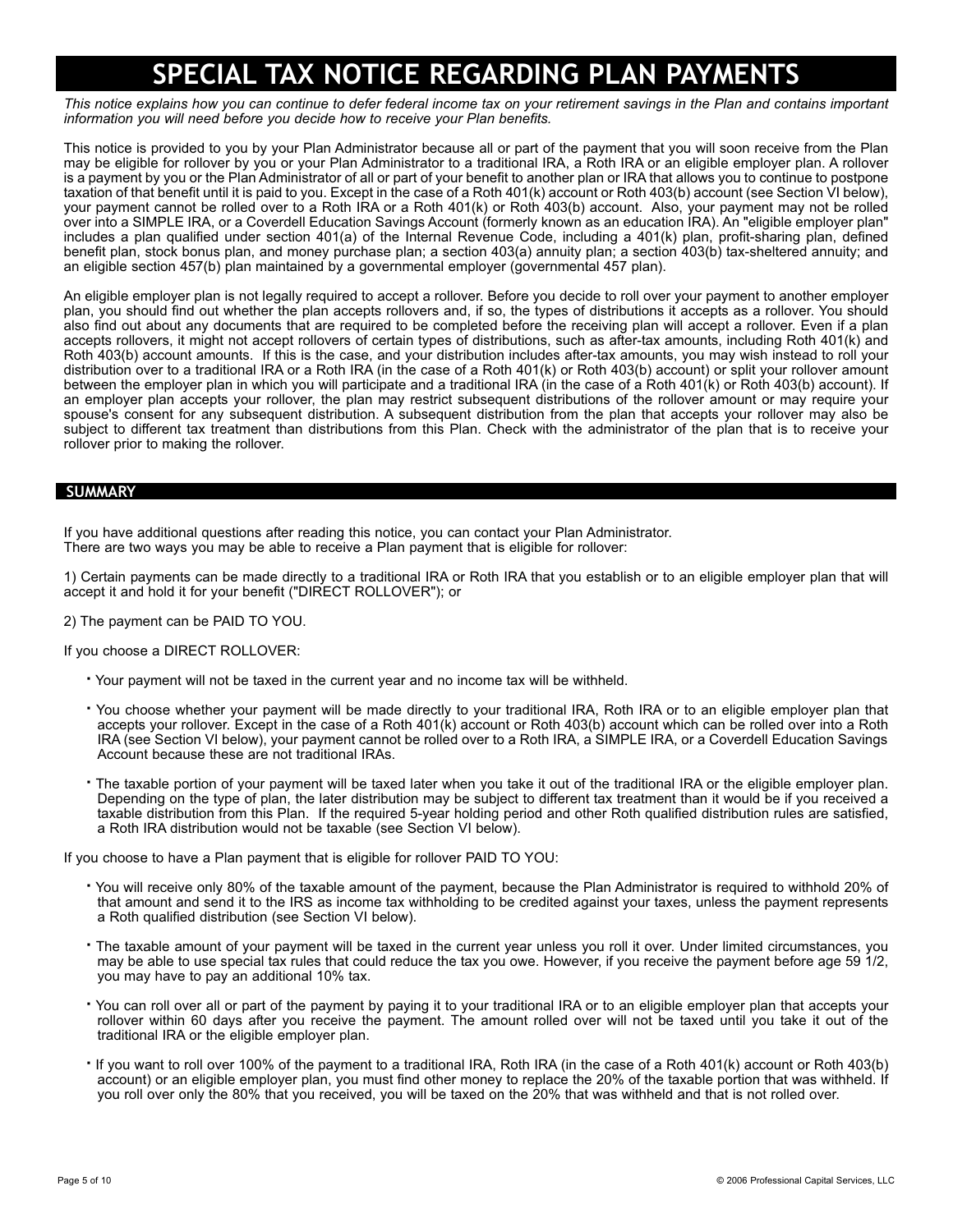## **SPECIAL TAX NOTICE REGARDING PLAN PAYMENTS**

*This notice explains how you can continue to defer federal income tax on your retirement savings in the Plan and contains important information you will need before you decide how to receive your Plan benefits.*

This notice is provided to you by your Plan Administrator because all or part of the payment that you will soon receive from the Plan may be eligible for rollover by you or your Plan Administrator to a traditional IRA, a Roth IRA or an eligible employer plan. A rollover is a payment by you or the Plan Administrator of all or part of your benefit to another plan or IRA that allows you to continue to postpone taxation of that benefit until it is paid to you. Except in the case of a Roth 401(k) account or Roth 403(b) account (see Section VI below), your payment cannot be rolled over to a Roth IRA or a Roth 401(k) or Roth 403(b) account. Also, your payment may not be rolled over into a SIMPLE IRA, or a Coverdell Education Savings Account (formerly known as an education IRA). An "eligible employer plan" includes a plan qualified under section 401(a) of the Internal Revenue Code, including a 401(k) plan, profit-sharing plan, defined benefit plan, stock bonus plan, and money purchase plan; a section 403(a) annuity plan; a section 403(b) tax-sheltered annuity; and an eligible section 457(b) plan maintained by a governmental employer (governmental 457 plan).

An eligible employer plan is not legally required to accept a rollover. Before you decide to roll over your payment to another employer plan, you should find out whether the plan accepts rollovers and, if so, the types of distributions it accepts as a rollover. You should also find out about any documents that are required to be completed before the receiving plan will accept a rollover. Even if a plan accepts rollovers, it might not accept rollovers of certain types of distributions, such as after-tax amounts, including Roth 401(k) and Roth 403(b) account amounts. If this is the case, and your distribution includes after-tax amounts, you may wish instead to roll your distribution over to a traditional IRA or a Roth IRA (in the case of a Roth 401(k) or Roth 403(b) account) or split your rollover amount between the employer plan in which you will participate and a traditional IRA (in the case of a Roth 401(k) or Roth 403(b) account). If an employer plan accepts your rollover, the plan may restrict subsequent distributions of the rollover amount or may require your spouse's consent for any subsequent distribution. A subsequent distribution from the plan that accepts your rollover may also be subject to different tax treatment than distributions from this Plan. Check with the administrator of the plan that is to receive your rollover prior to making the rollover.

#### **SUMMARY**

If you have additional questions after reading this notice, you can contact your Plan Administrator. There are two ways you may be able to receive a Plan payment that is eligible for rollover:

1) Certain payments can be made directly to a traditional IRA or Roth IRA that you establish or to an eligible employer plan that will accept it and hold it for your benefit ("DIRECT ROLLOVER"); or

2) The payment can be PAID TO YOU.

#### If you choose a DIRECT ROLLOVER:

- **·** Your payment will not be taxed in the current year and no income tax will be withheld.
- **·** You choose whether your payment will be made directly to your traditional IRA, Roth IRA or to an eligible employer plan that accepts your rollover. Except in the case of a Roth 401(k) account or Roth 403(b) account which can be rolled over into a Roth IRA (see Section VI below), your payment cannot be rolled over to a Roth IRA, a SIMPLE IRA, or a Coverdell Education Savings Account because these are not traditional IRAs.
- **·** The taxable portion of your payment will be taxed later when you take it out of the traditional IRA or the eligible employer plan. Depending on the type of plan, the later distribution may be subject to different tax treatment than it would be if you received a taxable distribution from this Plan. If the required 5-year holding period and other Roth qualified distribution rules are satisfied, a Roth IRA distribution would not be taxable (see Section VI below).

If you choose to have a Plan payment that is eligible for rollover PAID TO YOU:

- **·** You will receive only 80% of the taxable amount of the payment, because the Plan Administrator is required to withhold 20% of that amount and send it to the IRS as income tax withholding to be credited against your taxes, unless the payment represents a Roth qualified distribution (see Section VI below).
- **·** The taxable amount of your payment will be taxed in the current year unless you roll it over. Under limited circumstances, you may be able to use special tax rules that could reduce the tax you owe. However, if you receive the payment before age 59 1/2, you may have to pay an additional 10% tax.
- **·** You can roll over all or part of the payment by paying it to your traditional IRA or to an eligible employer plan that accepts your rollover within 60 days after you receive the payment. The amount rolled over will not be taxed until you take it out of the traditional IRA or the eligible employer plan.
- **·** If you want to roll over 100% of the payment to a traditional IRA, Roth IRA (in the case of a Roth 401(k) account or Roth 403(b) account) or an eligible employer plan, you must find other money to replace the 20% of the taxable portion that was withheld. If you roll over only the 80% that you received, you will be taxed on the 20% that was withheld and that is not rolled over.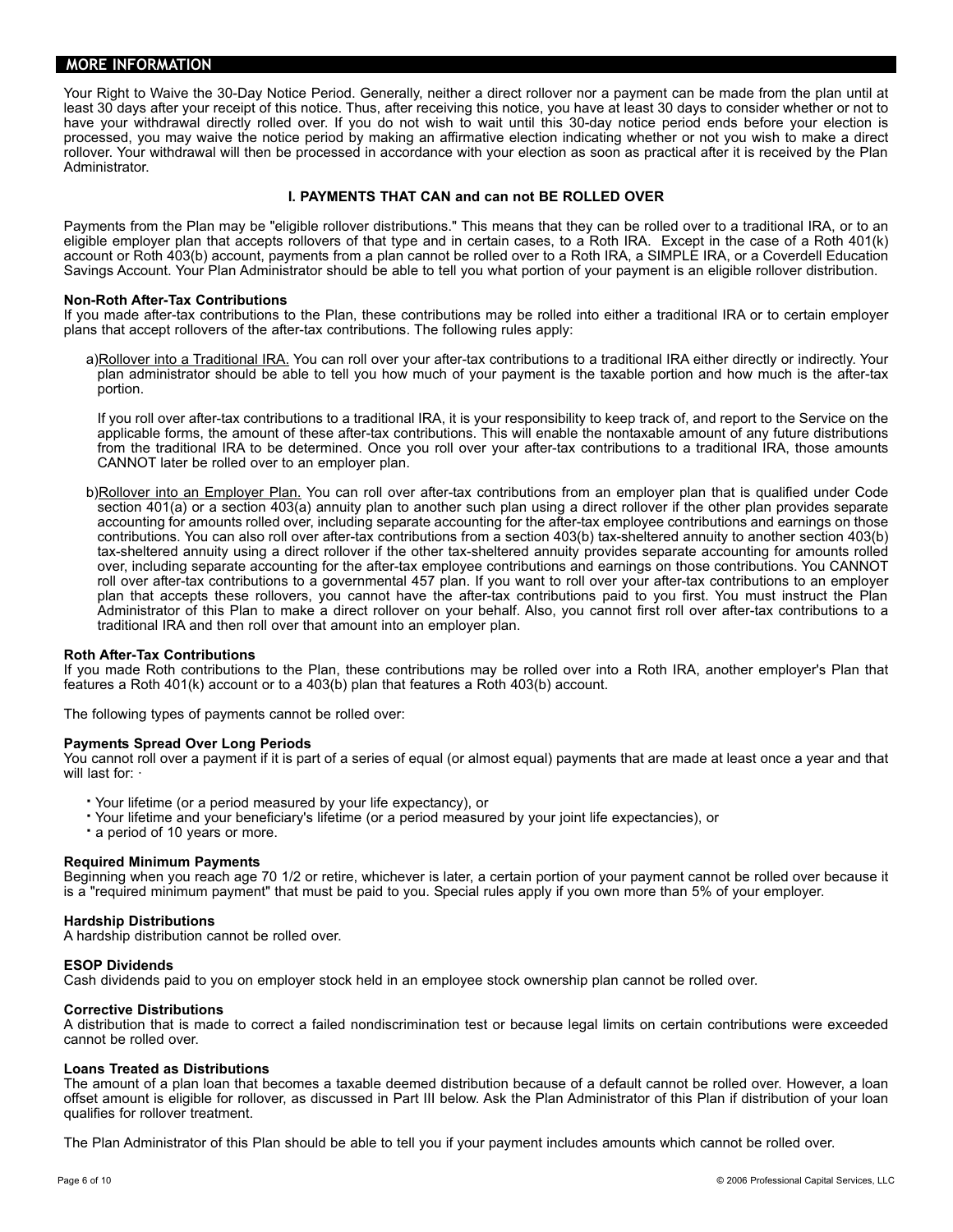#### **MORE INFORMATION**

Your Right to Waive the 30-Day Notice Period. Generally, neither a direct rollover nor a payment can be made from the plan until at least 30 days after your receipt of this notice. Thus, after receiving this notice, you have at least 30 days to consider whether or not to have your withdrawal directly rolled over. If you do not wish to wait until this 30-day notice period ends before your election is processed, you may waive the notice period by making an affirmative election indicating whether or not you wish to make a direct rollover. Your withdrawal will then be processed in accordance with your election as soon as practical after it is received by the Plan Administrator.

#### **I. PAYMENTS THAT CAN and can not BE ROLLED OVER**

Payments from the Plan may be "eligible rollover distributions." This means that they can be rolled over to a traditional IRA, or to an eligible employer plan that accepts rollovers of that type and in certain cases, to a Roth IRA. Except in the case of a Roth 401(k) account or Roth 403(b) account, payments from a plan cannot be rolled over to a Roth IRA, a SIMPLE IRA, or a Coverdell Education Savings Account. Your Plan Administrator should be able to tell you what portion of your payment is an eligible rollover distribution.

#### **Non-Roth After-Tax Contributions**

If you made after-tax contributions to the Plan, these contributions may be rolled into either a traditional IRA or to certain employer plans that accept rollovers of the after-tax contributions. The following rules apply:

a)Rollover into a Traditional IRA. You can roll over your after-tax contributions to a traditional IRA either directly or indirectly. Your plan administrator should be able to tell you how much of your payment is the taxable portion and how much is the after-tax portion.

If you roll over after-tax contributions to a traditional IRA, it is your responsibility to keep track of, and report to the Service on the applicable forms, the amount of these after-tax contributions. This will enable the nontaxable amount of any future distributions from the traditional IRA to be determined. Once you roll over your after-tax contributions to a traditional IRA, those amounts CANNOT later be rolled over to an employer plan.

b)Rollover into an Employer Plan. You can roll over after-tax contributions from an employer plan that is qualified under Code section 401(a) or a section 403(a) annuity plan to another such plan using a direct rollover if the other plan provides separate accounting for amounts rolled over, including separate accounting for the after-tax employee contributions and earnings on those contributions. You can also roll over after-tax contributions from a section 403(b) tax-sheltered annuity to another section 403(b) tax-sheltered annuity using a direct rollover if the other tax-sheltered annuity provides separate accounting for amounts rolled over, including separate accounting for the after-tax employee contributions and earnings on those contributions. You CANNOT roll over after-tax contributions to a governmental 457 plan. If you want to roll over your after-tax contributions to an employer plan that accepts these rollovers, you cannot have the after-tax contributions paid to you first. You must instruct the Plan Administrator of this Plan to make a direct rollover on your behalf. Also, you cannot first roll over after-tax contributions to a traditional IRA and then roll over that amount into an employer plan.

#### **Roth After-Tax Contributions**

If you made Roth contributions to the Plan, these contributions may be rolled over into a Roth IRA, another employer's Plan that features a Roth 401(k) account or to a 403(b) plan that features a Roth 403(b) account.

The following types of payments cannot be rolled over:

#### **Payments Spread Over Long Periods**

You cannot roll over a payment if it is part of a series of equal (or almost equal) payments that are made at least once a year and that will last for:  $\cdot$ 

- **·** Your lifetime (or a period measured by your life expectancy), or
- **·** Your lifetime and your beneficiary's lifetime (or a period measured by your joint life expectancies), or

**·** a period of 10 years or more.

#### **Required Minimum Payments**

Beginning when you reach age 70 1/2 or retire, whichever is later, a certain portion of your payment cannot be rolled over because it is a "required minimum payment" that must be paid to you. Special rules apply if you own more than 5% of your employer.

#### **Hardship Distributions**

A hardship distribution cannot be rolled over.

#### **ESOP Dividends**

Cash dividends paid to you on employer stock held in an employee stock ownership plan cannot be rolled over.

#### **Corrective Distributions**

A distribution that is made to correct a failed nondiscrimination test or because legal limits on certain contributions were exceeded cannot be rolled over.

#### **Loans Treated as Distributions**

The amount of a plan loan that becomes a taxable deemed distribution because of a default cannot be rolled over. However, a loan offset amount is eligible for rollover, as discussed in Part III below. Ask the Plan Administrator of this Plan if distribution of your loan qualifies for rollover treatment.

The Plan Administrator of this Plan should be able to tell you if your payment includes amounts which cannot be rolled over.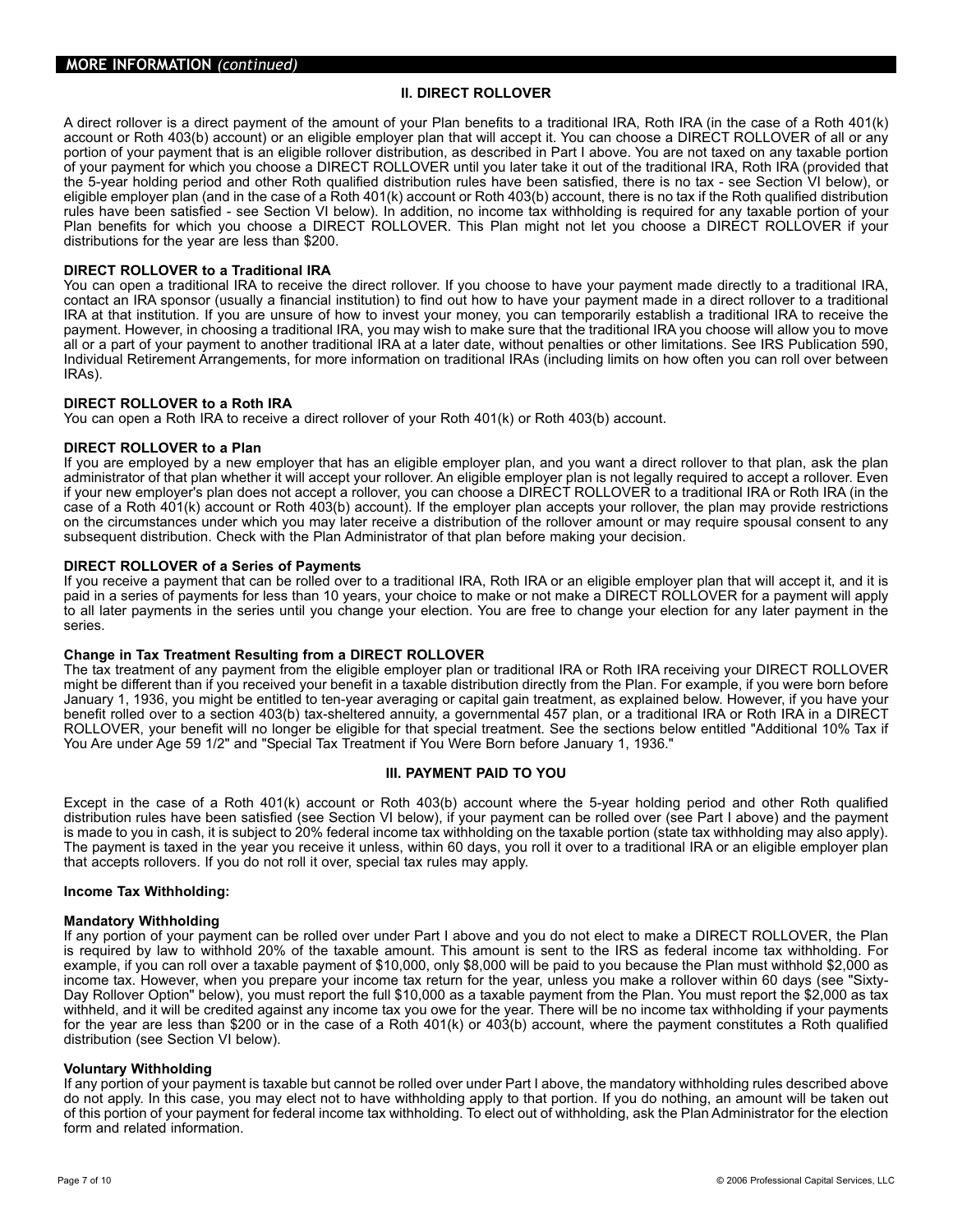#### **II. DIRECT ROLLOVER**

A direct rollover is a direct payment of the amount of your Plan benefits to a traditional IRA, Roth IRA (in the case of a Roth 401(k) account or Roth 403(b) account) or an eligible employer plan that will accept it. You can choose a DIRECT ROLLOVER of all or any portion of your payment that is an eligible rollover distribution, as described in Part I above. You are not taxed on any taxable portion of your payment for which you choose a DIRECT ROLLOVER until you later take it out of the traditional IRA, Roth IRA (provided that the 5-year holding period and other Roth qualified distribution rules have been satisfied, there is no tax - see Section VI below), or eligible employer plan (and in the case of a Roth 401(k) account or Roth 403(b) account, there is no tax if the Roth qualified distribution rules have been satisfied - see Section VI below). In addition, no income tax withholding is required for any taxable portion of your Plan benefits for which you choose a DIRECT ROLLOVER. This Plan might not let you choose a DIRECT ROLLOVER if your distributions for the year are less than \$200.

#### **DIRECT ROLLOVER to a Traditional IRA**

You can open a traditional IRA to receive the direct rollover. If you choose to have your payment made directly to a traditional IRA, contact an IRA sponsor (usually a financial institution) to find out how to have your payment made in a direct rollover to a traditional IRA at that institution. If you are unsure of how to invest your money, you can temporarily establish a traditional IRA to receive the payment. However, in choosing a traditional IRA, you may wish to make sure that the traditional IRA you choose will allow you to move all or a part of your payment to another traditional IRA at a later date, without penalties or other limitations. See IRS Publication 590, Individual Retirement Arrangements, for more information on traditional IRAs (including limits on how often you can roll over between IRAs).

#### **DIRECT ROLLOVER to a Roth IRA**

You can open a Roth IRA to receive a direct rollover of your Roth 401(k) or Roth 403(b) account.

#### **DIRECT ROLLOVER to a Plan**

If you are employed by a new employer that has an eligible employer plan, and you want a direct rollover to that plan, ask the plan administrator of that plan whether it will accept your rollover. An eligible employer plan is not legally required to accept a rollover. Even if your new employer's plan does not accept a rollover, you can choose a DIRECT ROLLOVER to a traditional IRA or Roth IRA (in the case of a Roth 401(k) account or Roth 403(b) account). If the employer plan accepts your rollover, the plan may provide restrictions on the circumstances under which you may later receive a distribution of the rollover amount or may require spousal consent to any subsequent distribution. Check with the Plan Administrator of that plan before making your decision.

#### **DIRECT ROLLOVER of a Series of Payments**

If you receive a payment that can be rolled over to a traditional IRA, Roth IRA or an eligible employer plan that will accept it, and it is paid in a series of payments for less than 10 years, your choice to make or not make a DIRECT ROLLOVER for a payment will apply to all later payments in the series until you change your election. You are free to change your election for any later payment in the series.

#### **Change in Tax Treatment Resulting from a DIRECT ROLLOVER**

The tax treatment of any payment from the eligible employer plan or traditional IRA or Roth IRA receiving your DIRECT ROLLOVER might be different than if you received your benefit in a taxable distribution directly from the Plan. For example, if you were born before January 1, 1936, you might be entitled to ten-year averaging or capital gain treatment, as explained below. However, if you have your benefit rolled over to a section 403(b) tax-sheltered annuity, a governmental 457 plan, or a traditional IRA or Roth IRA in a DIRECT ROLLOVER, your benefit will no longer be eligible for that special treatment. See the sections below entitled "Additional 10% Tax if You Are under Age 59 1/2" and "Special Tax Treatment if You Were Born before January 1, 1936."

#### **III. PAYMENT PAID TO YOU**

Except in the case of a Roth 401(k) account or Roth 403(b) account where the 5-year holding period and other Roth qualified distribution rules have been satisfied (see Section VI below), if your payment can be rolled over (see Part I above) and the payment is made to you in cash, it is subject to 20% federal income tax withholding on the taxable portion (state tax withholding may also apply). The payment is taxed in the year you receive it unless, within 60 days, you roll it over to a traditional IRA or an eligible employer plan that accepts rollovers. If you do not roll it over, special tax rules may apply.

#### **Income Tax Withholding:**

#### **Mandatory Withholding**

If any portion of your payment can be rolled over under Part I above and you do not elect to make a DIRECT ROLLOVER, the Plan is required by law to withhold 20% of the taxable amount. This amount is sent to the IRS as federal income tax withholding. For example, if you can roll over a taxable payment of \$10,000, only \$8,000 will be paid to you because the Plan must withhold \$2,000 as income tax. However, when you prepare your income tax return for the year, unless you make a rollover within 60 days (see "Sixty-Day Rollover Option" below), you must report the full \$10,000 as a taxable payment from the Plan. You must report the \$2,000 as tax withheld, and it will be credited against any income tax you owe for the year. There will be no income tax withholding if your payments for the year are less than \$200 or in the case of a Roth 401(k) or 403(b) account, where the payment constitutes a Roth qualified distribution (see Section VI below).

#### **Voluntary Withholding**

If any portion of your payment is taxable but cannot be rolled over under Part I above, the mandatory withholding rules described above do not apply. In this case, you may elect not to have withholding apply to that portion. If you do nothing, an amount will be taken out of this portion of your payment for federal income tax withholding. To elect out of withholding, ask the Plan Administrator for the election form and related information.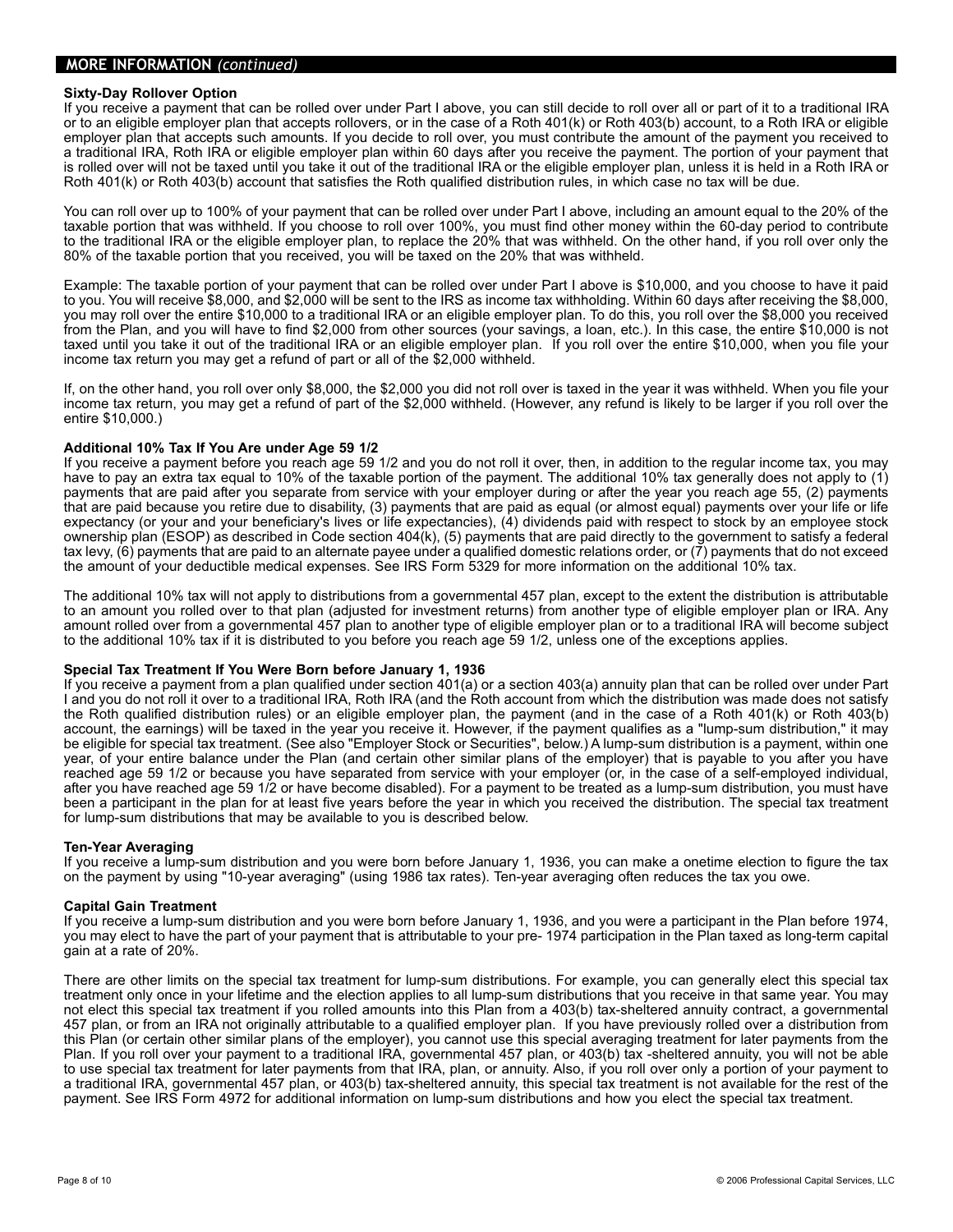#### **MORE INFORMATION** *(continued)*

#### **Sixty-Day Rollover Option**

If you receive a payment that can be rolled over under Part I above, you can still decide to roll over all or part of it to a traditional IRA or to an eligible employer plan that accepts rollovers, or in the case of a Roth 401(k) or Roth 403(b) account, to a Roth IRA or eligible employer plan that accepts such amounts. If you decide to roll over, you must contribute the amount of the payment you received to a traditional IRA, Roth IRA or eligible employer plan within 60 days after you receive the payment. The portion of your payment that is rolled over will not be taxed until you take it out of the traditional IRA or the eligible employer plan, unless it is held in a Roth IRA or Roth 401(k) or Roth 403(b) account that satisfies the Roth qualified distribution rules, in which case no tax will be due.

You can roll over up to 100% of your payment that can be rolled over under Part I above, including an amount equal to the 20% of the taxable portion that was withheld. If you choose to roll over 100%, you must find other money within the 60-day period to contribute to the traditional IRA or the eligible employer plan, to replace the 20% that was withheld. On the other hand, if you roll over only the 80% of the taxable portion that you received, you will be taxed on the 20% that was withheld.

Example: The taxable portion of your payment that can be rolled over under Part I above is \$10,000, and you choose to have it paid to you. You will receive \$8,000, and \$2,000 will be sent to the IRS as income tax withholding. Within 60 days after receiving the \$8,000, you may roll over the entire \$10,000 to a traditional IRA or an eligible employer plan. To do this, you roll over the \$8,000 you received from the Plan, and you will have to find \$2,000 from other sources (your savings, a loan, etc.). In this case, the entire \$10,000 is not taxed until you take it out of the traditional IRA or an eligible employer plan. If you roll over the entire \$10,000, when you file your income tax return you may get a refund of part or all of the \$2,000 withheld.

If, on the other hand, you roll over only \$8,000, the \$2,000 you did not roll over is taxed in the year it was withheld. When you file your income tax return, you may get a refund of part of the \$2,000 withheld. (However, any refund is likely to be larger if you roll over the entire \$10,000.)

#### **Additional 10% Tax If You Are under Age 59 1/2**

If you receive a payment before you reach age 59 1/2 and you do not roll it over, then, in addition to the regular income tax, you may have to pay an extra tax equal to 10% of the taxable portion of the payment. The additional 10% tax generally does not apply to (1) payments that are paid after you separate from service with your employer during or after the year you reach age 55, (2) payments that are paid because you retire due to disability, (3) payments that are paid as equal (or almost equal) payments over your life or life expectancy (or your and your beneficiary's lives or life expectancies), (4) dividends paid with respect to stock by an employee stock ownership plan (ESOP) as described in Code section 404(k), (5) payments that are paid directly to the government to satisfy a federal tax levy, (6) payments that are paid to an alternate payee under a qualified domestic relations order, or (7) payments that do not exceed the amount of your deductible medical expenses. See IRS Form 5329 for more information on the additional 10% tax.

The additional 10% tax will not apply to distributions from a governmental 457 plan, except to the extent the distribution is attributable to an amount you rolled over to that plan (adjusted for investment returns) from another type of eligible employer plan or IRA. Any amount rolled over from a governmental 457 plan to another type of eligible employer plan or to a traditional IRA will become subject to the additional 10% tax if it is distributed to you before you reach age 59 1/2, unless one of the exceptions applies.

#### **Special Tax Treatment If You Were Born before January 1, 1936**

If you receive a payment from a plan qualified under section 401(a) or a section 403(a) annuity plan that can be rolled over under Part I and you do not roll it over to a traditional IRA, Roth IRA (and the Roth account from which the distribution was made does not satisfy the Roth qualified distribution rules) or an eligible employer plan, the payment (and in the case of a Roth 401(k) or Roth 403(b) account, the earnings) will be taxed in the year you receive it. However, if the payment qualifies as a "lump-sum distribution," it may be eligible for special tax treatment. (See also "Employer Stock or Securities", below.) A lump-sum distribution is a payment, within one year, of your entire balance under the Plan (and certain other similar plans of the employer) that is payable to you after you have reached age 59 1/2 or because you have separated from service with your employer (or, in the case of a self-employed individual, after you have reached age 59 1/2 or have become disabled). For a payment to be treated as a lump-sum distribution, you must have been a participant in the plan for at least five years before the year in which you received the distribution. The special tax treatment for lump-sum distributions that may be available to you is described below.

#### **Ten-Year Averaging**

If you receive a lump-sum distribution and you were born before January 1, 1936, you can make a onetime election to figure the tax on the payment by using "10-year averaging" (using 1986 tax rates). Ten-year averaging often reduces the tax you owe.

#### **Capital Gain Treatment**

If you receive a lump-sum distribution and you were born before January 1, 1936, and you were a participant in the Plan before 1974, you may elect to have the part of your payment that is attributable to your pre- 1974 participation in the Plan taxed as long-term capital gain at a rate of 20%.

There are other limits on the special tax treatment for lump-sum distributions. For example, you can generally elect this special tax treatment only once in your lifetime and the election applies to all lump-sum distributions that you receive in that same year. You may not elect this special tax treatment if you rolled amounts into this Plan from a 403(b) tax-sheltered annuity contract, a governmental 457 plan, or from an IRA not originally attributable to a qualified employer plan. If you have previously rolled over a distribution from this Plan (or certain other similar plans of the employer), you cannot use this special averaging treatment for later payments from the Plan. If you roll over your payment to a traditional IRA, governmental 457 plan, or 403(b) tax -sheltered annuity, you will not be able to use special tax treatment for later payments from that IRA, plan, or annuity. Also, if you roll over only a portion of your payment to a traditional IRA, governmental 457 plan, or 403(b) tax-sheltered annuity, this special tax treatment is not available for the rest of the payment. See IRS Form 4972 for additional information on lump-sum distributions and how you elect the special tax treatment.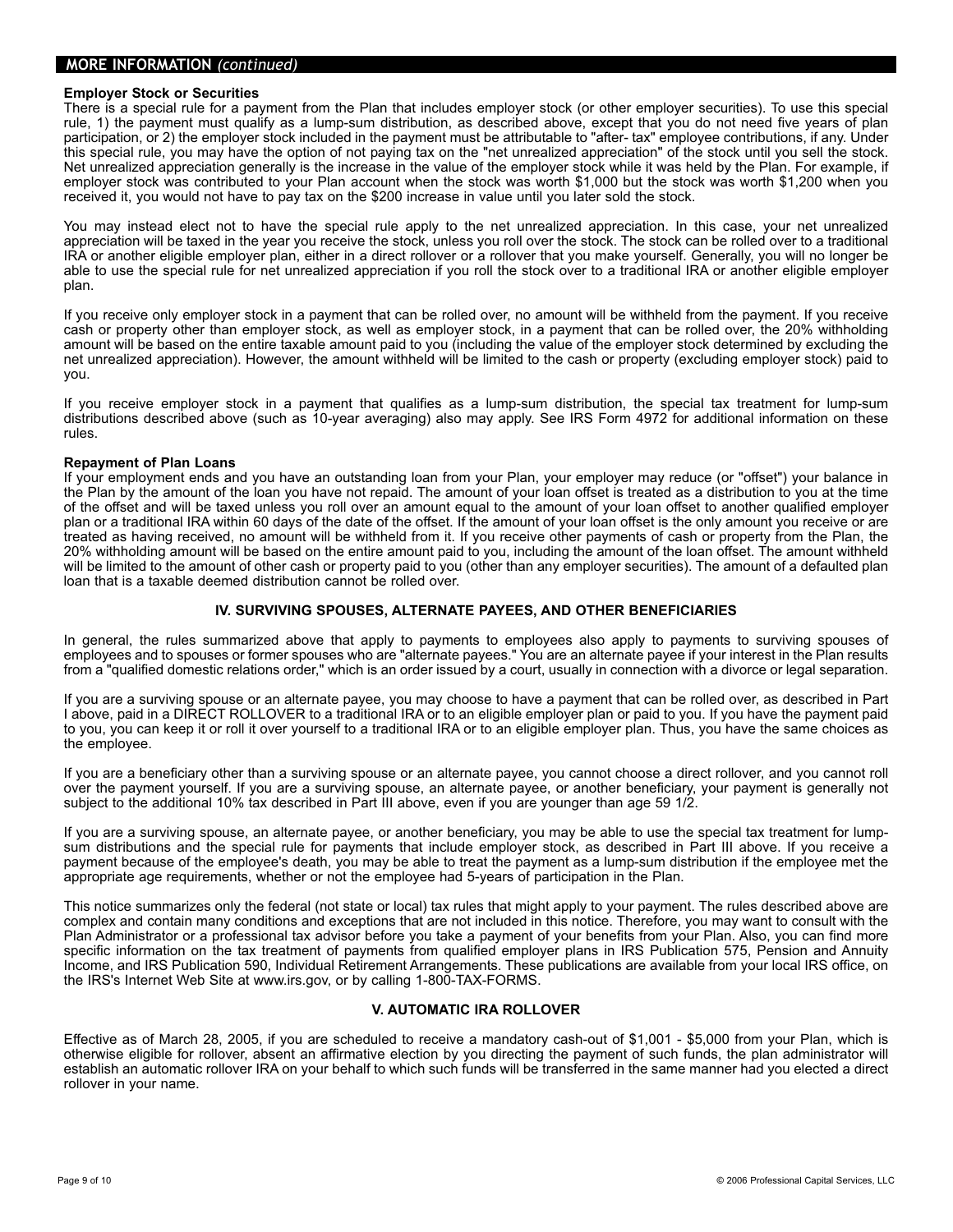#### **MORE INFORMATION** *(continued)*

#### **Employer Stock or Securities**

There is a special rule for a payment from the Plan that includes employer stock (or other employer securities). To use this special rule, 1) the payment must qualify as a lump-sum distribution, as described above, except that you do not need five years of plan participation, or 2) the employer stock included in the payment must be attributable to "after- tax" employee contributions, if any. Under this special rule, you may have the option of not paying tax on the "net unrealized appreciation" of the stock until you sell the stock. Net unrealized appreciation generally is the increase in the value of the employer stock while it was held by the Plan. For example, if employer stock was contributed to your Plan account when the stock was worth \$1,000 but the stock was worth \$1,200 when you received it, you would not have to pay tax on the \$200 increase in value until you later sold the stock.

You may instead elect not to have the special rule apply to the net unrealized appreciation. In this case, your net unrealized appreciation will be taxed in the year you receive the stock, unless you roll over the stock. The stock can be rolled over to a traditional IRA or another eligible employer plan, either in a direct rollover or a rollover that you make yourself. Generally, you will no longer be able to use the special rule for net unrealized appreciation if you roll the stock over to a traditional IRA or another eligible employer plan.

If you receive only employer stock in a payment that can be rolled over, no amount will be withheld from the payment. If you receive cash or property other than employer stock, as well as employer stock, in a payment that can be rolled over, the 20% withholding amount will be based on the entire taxable amount paid to you (including the value of the employer stock determined by excluding the net unrealized appreciation). However, the amount withheld will be limited to the cash or property (excluding employer stock) paid to you.

If you receive employer stock in a payment that qualifies as a lump-sum distribution, the special tax treatment for lump-sum distributions described above (such as 10-year averaging) also may apply. See IRS Form 4972 for additional information on these rules.

#### **Repayment of Plan Loans**

If your employment ends and you have an outstanding loan from your Plan, your employer may reduce (or "offset") your balance in the Plan by the amount of the loan you have not repaid. The amount of your loan offset is treated as a distribution to you at the time of the offset and will be taxed unless you roll over an amount equal to the amount of your loan offset to another qualified employer plan or a traditional IRA within 60 days of the date of the offset. If the amount of your loan offset is the only amount you receive or are treated as having received, no amount will be withheld from it. If you receive other payments of cash or property from the Plan, the 20% withholding amount will be based on the entire amount paid to you, including the amount of the loan offset. The amount withheld will be limited to the amount of other cash or property paid to you (other than any employer securities). The amount of a defaulted plan loan that is a taxable deemed distribution cannot be rolled over.

#### **IV. SURVIVING SPOUSES, ALTERNATE PAYEES, AND OTHER BENEFICIARIES**

In general, the rules summarized above that apply to payments to employees also apply to payments to surviving spouses of employees and to spouses or former spouses who are "alternate payees." You are an alternate payee if your interest in the Plan results from a "qualified domestic relations order," which is an order issued by a court, usually in connection with a divorce or legal separation.

If you are a surviving spouse or an alternate payee, you may choose to have a payment that can be rolled over, as described in Part I above, paid in a DIRECT ROLLOVER to a traditional IRA or to an eligible employer plan or paid to you. If you have the payment paid to you, you can keep it or roll it over yourself to a traditional IRA or to an eligible employer plan. Thus, you have the same choices as the employee.

If you are a beneficiary other than a surviving spouse or an alternate payee, you cannot choose a direct rollover, and you cannot roll over the payment yourself. If you are a surviving spouse, an alternate payee, or another beneficiary, your payment is generally not subject to the additional 10% tax described in Part III above, even if you are younger than age 59 1/2.

If you are a surviving spouse, an alternate payee, or another beneficiary, you may be able to use the special tax treatment for lumpsum distributions and the special rule for payments that include employer stock, as described in Part III above. If you receive a payment because of the employee's death, you may be able to treat the payment as a lump-sum distribution if the employee met the appropriate age requirements, whether or not the employee had 5-years of participation in the Plan.

This notice summarizes only the federal (not state or local) tax rules that might apply to your payment. The rules described above are complex and contain many conditions and exceptions that are not included in this notice. Therefore, you may want to consult with the Plan Administrator or a professional tax advisor before you take a payment of your benefits from your Plan. Also, you can find more specific information on the tax treatment of payments from qualified employer plans in IRS Publication 575, Pension and Annuity Income, and IRS Publication 590, Individual Retirement Arrangements. These publications are available from your local IRS office, on the IRS's Internet Web Site at www.irs.gov, or by calling 1-800-TAX-FORMS.

#### **V. AUTOMATIC IRA ROLLOVER**

Effective as of March 28, 2005, if you are scheduled to receive a mandatory cash-out of \$1,001 - \$5,000 from your Plan, which is otherwise eligible for rollover, absent an affirmative election by you directing the payment of such funds, the plan administrator will establish an automatic rollover IRA on your behalf to which such funds will be transferred in the same manner had you elected a direct rollover in your name.